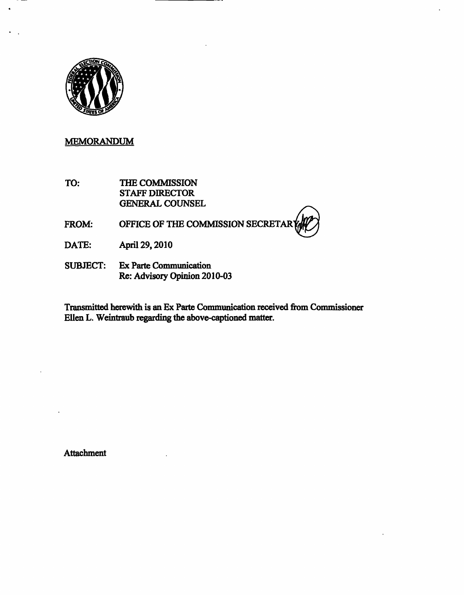

## MEMORANDUM

TO: THE COMMISSION STAFF DIRECTOR GENERAL COUNSEL

## FROM: OFFICE OF THE COMMISSION SECRETAR

- DATE: April 29,2010
- SUBJECT: Ex Parte Communication Re: Advisory Opinion 2010-03

Transmitted herewith is an Ex Parte Communication received from Commissioner Ellen L. Weintraub regarding the above-captioned matter.

Attachment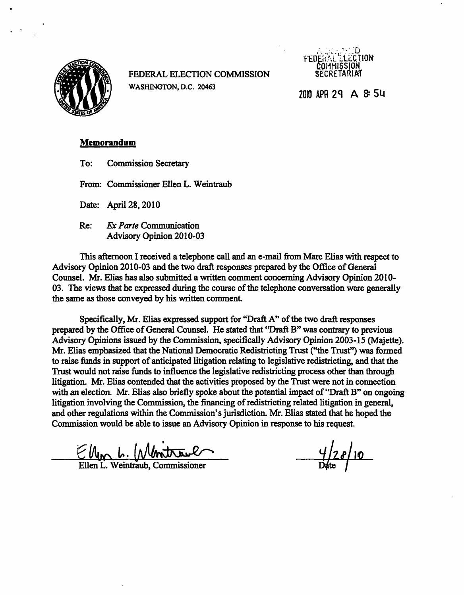

FEDERAL ELECTION COMMISSION WASHINGTON, D.C. 20463



2010 APR 29 A 8: 54

## Memorandum

To: Commission Secretary

From: Commissioner Ellen L. Weintraub

Date: April 28,2010

Re: Ex Parte Communication Advisory Opinion 2010-03

This afternoon I received a telephone call and an e-mail from Marc Elias with respect to Advisory Opinion 2010-03 and the two draft responses prepared by the Office of General Counsel. Mr. Elias has also submitted a written comment concerning Advisory Opinion 2010- 03. The views that he expressed during the course of the telephone conversation were generally the same as those conveyed by his written comment.

Specifically, Mr. Elias expressed support for "Draft A" of the two draft responses prepared by the Office of General Counsel. He stated that "Draft B" was contrary to previous Advisory Opinions issued by the Commission, specifically Advisory Opinion 2003-15 (Majette). Mr. Elias emphasized that the National Democratic Redistricting Trust ("the Trust") was formed to raise funds in support of anticipated litigation relating to legislative redistricting, and that the Trust would not raise funds to influence the legislative redistricting process other than through litigation. Mr. Elias contended that the activities proposed by the Trust were not in connection with an election. Mr. Elias also briefly spoke about the potential impact of "Draft B" on ongoing litigation involving the Commission, the financing of redistricting related litigation in general, and other regulations within the Commission's jurisdiction. Mr. Elias stated that he hoped the Commission would be able to issue an Advisory Opinion in response to his request.

 $4/28/10$ 

Ellen L. Weintraub, Commissioner

 $\frac{1}{2}$ <br>Date